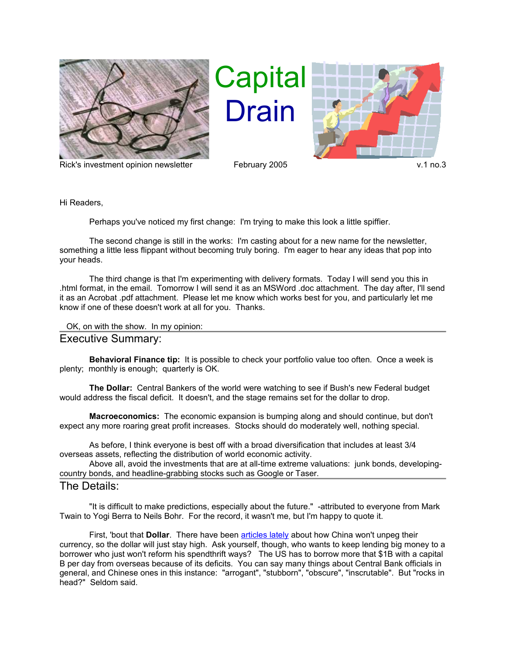

Rick's investment opinion newsletter February 2005 v.1 no.3

## Capital Drain



Hi Readers,

Perhaps you've noticed my first change: I'm trying to make this look a little spiffier.

The second change is still in the works: I'm casting about for a new name for the newsletter, something a little less flippant without becoming truly boring. I'm eager to hear any ideas that pop into your heads.

The third change is that I'm experimenting with delivery formats. Today I will send you this in .html format, in the email. Tomorrow I will send it as an MSWord .doc attachment. The day after, I'll send it as an Acrobat .pdf attachment. Please let me know which works best for you, and particularly let me know if one of these doesn't work at all for you. Thanks.

```
 OK, on with the show. In my opinion:
```
## Executive Summary:

**Behavioral Finance tip:** It is possible to check your portfolio value too often. Once a week is plenty; monthly is enough; quarterly is OK.

**The Dollar:** Central Bankers of the world were watching to see if Bush's new Federal budget would address the fiscal deficit. It doesn't, and the stage remains set for the dollar to drop.

**Macroeconomics:** The economic expansion is bumping along and should continue, but don't expect any more roaring great profit increases. Stocks should do moderately well, nothing special.

As before, I think everyone is best off with a broad diversification that includes at least 3/4 overseas assets, reflecting the distribution of world economic activity.

Above all, avoid the investments that are at all-time extreme valuations: junk bonds, developingcountry bonds, and headline-grabbing stocks such as Google or Taser.

## The Details:

"It is difficult to make predictions, especially about the future." -attributed to everyone from Mark Twain to Yogi Berra to Neils Bohr. For the record, it wasn't me, but I'm happy to quote it.

First, 'bout that **Dollar**. There have been [articles lately](http://www.morganstanley.com/GEFdata/digests/latest-digest.html) about how China won't unpeg their currency, so the dollar will just stay high. Ask yourself, though, who wants to keep lending big money to a borrower who just won't reform his spendthrift ways? The US has to borrow more that \$1B with a capital B per day from overseas because of its deficits. You can say many things about Central Bank officials in general, and Chinese ones in this instance: "arrogant", "stubborn", "obscure", "inscrutable". But "rocks in head?" Seldom said.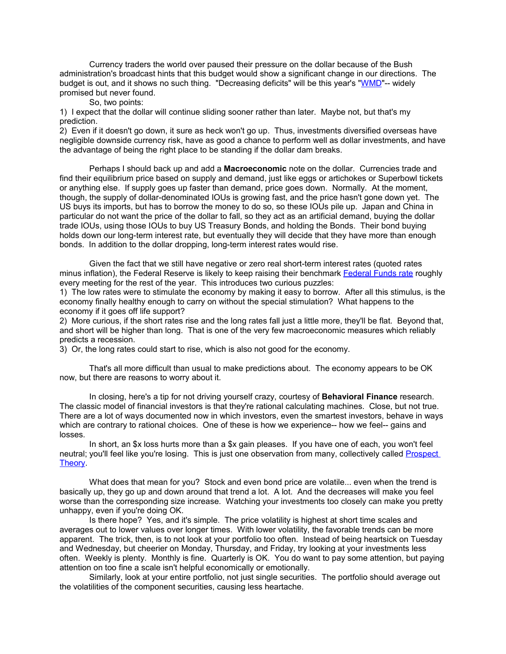Currency traders the world over paused their pressure on the dollar because of the Bush administration's broadcast hints that this budget would show a significant change in our directions. The budget is out, and it shows no such thing. "Decreasing deficits" will be this year's ["WMD"](http://www.coxar.pwp.blueyonder.co.uk/)-- widely promised but never found.

So, two points:

1) I expect that the dollar will continue sliding sooner rather than later. Maybe not, but that's my prediction.

2) Even if it doesn't go down, it sure as heck won't go up. Thus, investments diversified overseas have negligible downside currency risk, have as good a chance to perform well as dollar investments, and have the advantage of being the right place to be standing if the dollar dam breaks.

Perhaps I should back up and add a **Macroeconomic** note on the dollar. Currencies trade and find their equilibrium price based on supply and demand, just like eggs or artichokes or Superbowl tickets or anything else. If supply goes up faster than demand, price goes down. Normally. At the moment, though, the supply of dollar-denominated IOUs is growing fast, and the price hasn't gone down yet. The US buys its imports, but has to borrow the money to do so, so these IOUs pile up. Japan and China in particular do not want the price of the dollar to fall, so they act as an artificial demand, buying the dollar trade IOUs, using those IOUs to buy US Treasury Bonds, and holding the Bonds. Their bond buying holds down our long-term interest rate, but eventually they will decide that they have more than enough bonds. In addition to the dollar dropping, long-term interest rates would rise.

Given the fact that we still have negative or zero real short-term interest rates (quoted rates minus inflation), the Federal Reserve is likely to keep raising their benchmark [Federal Funds rate](http://online.wsj.com/edition/resources/media/fedfunds.gif) roughly every meeting for the rest of the year. This introduces two curious puzzles:

1) The low rates were to stimulate the economy by making it easy to borrow. After all this stimulus, is the economy finally healthy enough to carry on without the special stimulation? What happens to the economy if it goes off life support?

2) More curious, if the short rates rise and the long rates fall just a little more, they'll be flat. Beyond that, and short will be higher than long. That is one of the very few macroeconomic measures which reliably predicts a recession.

3) Or, the long rates could start to rise, which is also not good for the economy.

That's all more difficult than usual to make predictions about. The economy appears to be OK now, but there are reasons to worry about it.

In closing, here's a tip for not driving yourself crazy, courtesy of **Behavioral Finance** research. The classic model of financial investors is that they're rational calculating machines. Close, but not true. There are a lot of ways documented now in which investors, even the smartest investors, behave in ways which are contrary to rational choices. One of these is how we experience-- how we feel-- gains and losses.

In short, an \$x loss hurts more than a \$x gain pleases. If you have one of each, you won't feel neutral; you'll feel like you're losing. This is just one observation from many, collectively called [Prospect](http://www2.sjsu.edu/faculty/watkins/prospect.htm) [Theory.](http://www2.sjsu.edu/faculty/watkins/prospect.htm)

What does that mean for you? Stock and even bond price are volatile... even when the trend is basically up, they go up and down around that trend a lot. A lot. And the decreases will make you feel worse than the corresponding size increase. Watching your investments too closely can make you pretty unhappy, even if you're doing OK.

Is there hope? Yes, and it's simple. The price volatility is highest at short time scales and averages out to lower values over longer times. With lower volatility, the favorable trends can be more apparent. The trick, then, is to not look at your portfolio too often. Instead of being heartsick on Tuesday and Wednesday, but cheerier on Monday, Thursday, and Friday, try looking at your investments less often. Weekly is plenty. Monthly is fine. Quarterly is OK. You do want to pay some attention, but paying attention on too fine a scale isn't helpful economically or emotionally.

Similarly, look at your entire portfolio, not just single securities. The portfolio should average out the volatilities of the component securities, causing less heartache.